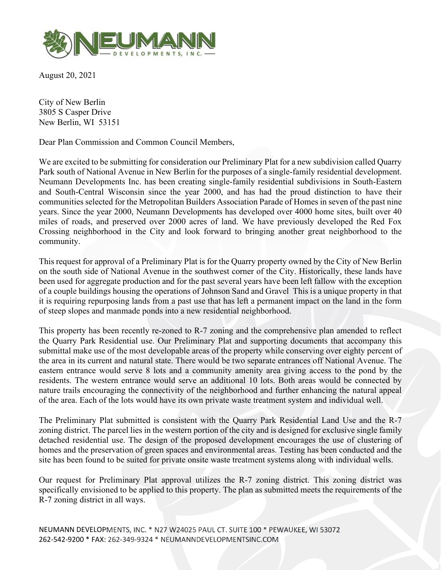

August 20, 2021

City of New Berlin 3805 S Casper Drive New Berlin, WI 53151

Dear Plan Commission and Common Council Members,

We are excited to be submitting for consideration our Preliminary Plat for a new subdivision called Quarry Park south of National Avenue in New Berlin for the purposes of a single-family residential development. Neumann Developments Inc. has been creating single-family residential subdivisions in South-Eastern and South-Central Wisconsin since the year 2000, and has had the proud distinction to have their communities selected for the Metropolitan Builders Association Parade of Homes in seven of the past nine years. Since the year 2000, Neumann Developments has developed over 4000 home sites, built over 40 miles of roads, and preserved over 2000 acres of land. We have previously developed the Red Fox Crossing neighborhood in the City and look forward to bringing another great neighborhood to the community.

This request for approval of a Preliminary Plat is for the Quarry property owned by the City of New Berlin on the south side of National Avenue in the southwest corner of the City. Historically, these lands have been used for aggregate production and for the past several years have been left fallow with the exception of a couple buildings housing the operations of Johnson Sand and Gravel This is a unique property in that it is requiring repurposing lands from a past use that has left a permanent impact on the land in the form of steep slopes and manmade ponds into a new residential neighborhood.

This property has been recently re-zoned to R-7 zoning and the comprehensive plan amended to reflect the Quarry Park Residential use. Our Preliminary Plat and supporting documents that accompany this submittal make use of the most developable areas of the property while conserving over eighty percent of the area in its current and natural state. There would be two separate entrances off National Avenue. The eastern entrance would serve 8 lots and a community amenity area giving access to the pond by the residents. The western entrance would serve an additional 10 lots. Both areas would be connected by nature trails encouraging the connectivity of the neighborhood and further enhancing the natural appeal of the area. Each of the lots would have its own private waste treatment system and individual well.

The Preliminary Plat submitted is consistent with the Quarry Park Residential Land Use and the R-7 zoning district. The parcel lies in the western portion of the city and is designed for exclusive single family detached residential use. The design of the proposed development encourages the use of clustering of homes and the preservation of green spaces and environmental areas. Testing has been conducted and the site has been found to be suited for private onsite waste treatment systems along with individual wells.

Our request for Preliminary Plat approval utilizes the R-7 zoning district. This zoning district was specifically envisioned to be applied to this property. The plan as submitted meets the requirements of the R-7 zoning district in all ways.